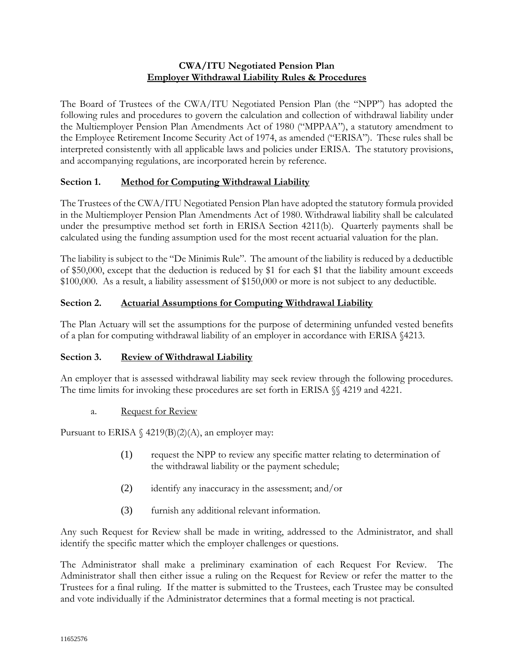### **CWA/ITU Negotiated Pension Plan Employer Withdrawal Liability Rules & Procedures**

The Board of Trustees of the CWA/ITU Negotiated Pension Plan (the "NPP") has adopted the following rules and procedures to govern the calculation and collection of withdrawal liability under the Multiemployer Pension Plan Amendments Act of 1980 ("MPPAA"), a statutory amendment to the Employee Retirement Income Security Act of 1974, as amended ("ERISA"). These rules shall be interpreted consistently with all applicable laws and policies under ERISA. The statutory provisions, and accompanying regulations, are incorporated herein by reference.

# **Section 1. Method for Computing Withdrawal Liability**

The Trustees of the CWA/ITU Negotiated Pension Plan have adopted the statutory formula provided in the Multiemployer Pension Plan Amendments Act of 1980. Withdrawal liability shall be calculated under the presumptive method set forth in ERISA Section 4211(b). Quarterly payments shall be calculated using the funding assumption used for the most recent actuarial valuation for the plan.

The liability is subject to the "De Minimis Rule". The amount of the liability is reduced by a deductible of \$50,000, except that the deduction is reduced by \$1 for each \$1 that the liability amount exceeds \$100,000. As a result, a liability assessment of \$150,000 or more is not subject to any deductible.

### **Section 2. Actuarial Assumptions for Computing Withdrawal Liability**

The Plan Actuary will set the assumptions for the purpose of determining unfunded vested benefits of a plan for computing withdrawal liability of an employer in accordance with ERISA §4213.

### **Section 3. Review of Withdrawal Liability**

An employer that is assessed withdrawal liability may seek review through the following procedures. The time limits for invoking these procedures are set forth in ERISA  $\%$  4219 and 4221.

### a. Request for Review

Pursuant to ERISA  $\frac{4219(B)(2)(A)}{A}$ , an employer may:

- (1) request the NPP to review any specific matter relating to determination of the withdrawal liability or the payment schedule;
- (2) identify any inaccuracy in the assessment; and/or
- (3) furnish any additional relevant information.

Any such Request for Review shall be made in writing, addressed to the Administrator, and shall identify the specific matter which the employer challenges or questions.

The Administrator shall make a preliminary examination of each Request For Review. The Administrator shall then either issue a ruling on the Request for Review or refer the matter to the Trustees for a final ruling. If the matter is submitted to the Trustees, each Trustee may be consulted and vote individually if the Administrator determines that a formal meeting is not practical.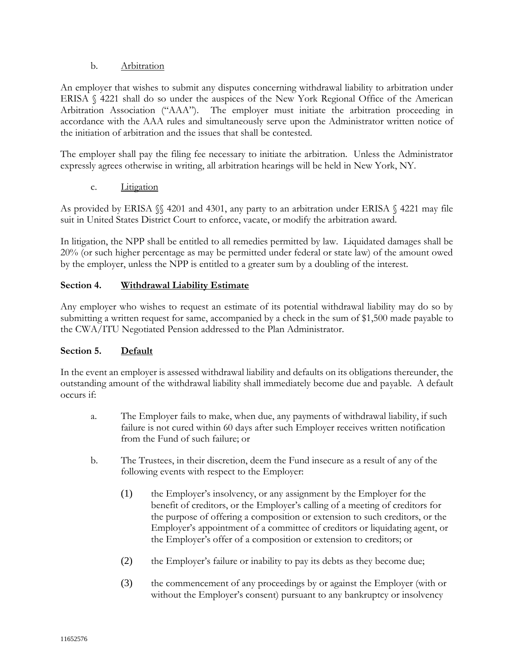### b. Arbitration

An employer that wishes to submit any disputes concerning withdrawal liability to arbitration under ERISA § 4221 shall do so under the auspices of the New York Regional Office of the American Arbitration Association ("AAA"). The employer must initiate the arbitration proceeding in accordance with the AAA rules and simultaneously serve upon the Administrator written notice of the initiation of arbitration and the issues that shall be contested.

The employer shall pay the filing fee necessary to initiate the arbitration. Unless the Administrator expressly agrees otherwise in writing, all arbitration hearings will be held in New York, NY.

c. Litigation

As provided by ERISA §§ 4201 and 4301, any party to an arbitration under ERISA § 4221 may file suit in United States District Court to enforce, vacate, or modify the arbitration award.

In litigation, the NPP shall be entitled to all remedies permitted by law. Liquidated damages shall be 20% (or such higher percentage as may be permitted under federal or state law) of the amount owed by the employer, unless the NPP is entitled to a greater sum by a doubling of the interest.

# **Section 4. Withdrawal Liability Estimate**

Any employer who wishes to request an estimate of its potential withdrawal liability may do so by submitting a written request for same, accompanied by a check in the sum of \$1,500 made payable to the CWA/ITU Negotiated Pension addressed to the Plan Administrator.

# **Section 5. Default**

In the event an employer is assessed withdrawal liability and defaults on its obligations thereunder, the outstanding amount of the withdrawal liability shall immediately become due and payable. A default occurs if:

- a. The Employer fails to make, when due, any payments of withdrawal liability, if such failure is not cured within 60 days after such Employer receives written notification from the Fund of such failure; or
- b. The Trustees, in their discretion, deem the Fund insecure as a result of any of the following events with respect to the Employer:
	- (1) the Employer's insolvency, or any assignment by the Employer for the benefit of creditors, or the Employer's calling of a meeting of creditors for the purpose of offering a composition or extension to such creditors, or the Employer's appointment of a committee of creditors or liquidating agent, or the Employer's offer of a composition or extension to creditors; or
	- (2) the Employer's failure or inability to pay its debts as they become due;
	- (3) the commencement of any proceedings by or against the Employer (with or without the Employer's consent) pursuant to any bankruptcy or insolvency